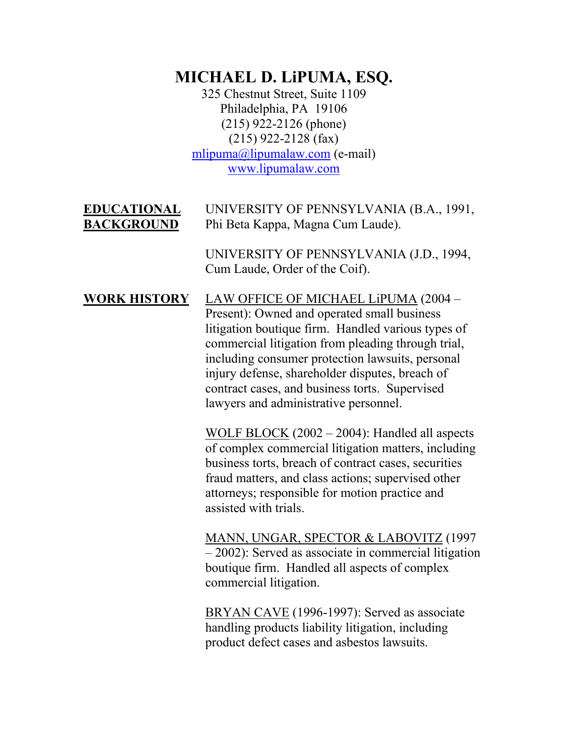## **MICHAEL D. LiPUMA, ESQ.**

325 Chestnut Street, Suite 1109 Philadelphia, PA 19106 (215) 922-2126 (phone) (215) 922-2128 (fax) [mlipuma@lipumalaw.com](mailto:mlipuma@lipumalaw.com) (e-mail) [www.lipumalaw.com](http://www.lipumalaw.com/)

**EDUCATIONAL BACKGROUND** UNIVERSITY OF PENNSYLVANIA (B.A., 1991, Phi Beta Kappa, Magna Cum Laude).

> UNIVERSITY OF PENNSYLVANIA (J.D., 1994, Cum Laude, Order of the Coif).

**WORK HISTORY** LAW OFFICE OF MICHAEL LiPUMA (2004 – Present): Owned and operated small business litigation boutique firm. Handled various types of commercial litigation from pleading through trial, including consumer protection lawsuits, personal injury defense, shareholder disputes, breach of contract cases, and business torts. Supervised lawyers and administrative personnel.

> WOLF BLOCK (2002 – 2004): Handled all aspects of complex commercial litigation matters, including business torts, breach of contract cases, securities fraud matters, and class actions; supervised other attorneys; responsible for motion practice and assisted with trials.

MANN, UNGAR, SPECTOR & LABOVITZ (1997 – 2002): Served as associate in commercial litigation boutique firm. Handled all aspects of complex commercial litigation.

BRYAN CAVE (1996-1997): Served as associate handling products liability litigation, including product defect cases and asbestos lawsuits.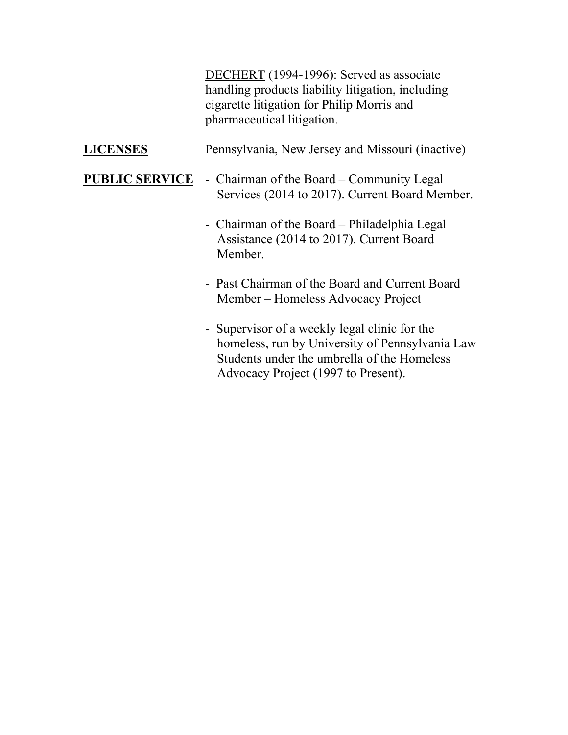DECHERT (1994-1996): Served as associate handling products liability litigation, including cigarette litigation for Philip Morris and pharmaceutical litigation.

| <b>LICENSES</b>       | Pennsylvania, New Jersey and Missouri (inactive)                                                    |
|-----------------------|-----------------------------------------------------------------------------------------------------|
| <b>PUBLIC SERVICE</b> | - Chairman of the Board – Community Legal<br>Services (2014 to 2017). Current Board Member.         |
|                       | - Chairman of the Board – Philadelphia Legal<br>Assistance (2014 to 2017). Current Board<br>Member. |
|                       | - Past Chairman of the Board and Current Board<br>Member – Homeless Advocacy Project                |
|                       | - Supervisor of a weekly legal clinic for the                                                       |

homeless, run by University of Pennsylvania Law Students under the umbrella of the Homeless Advocacy Project (1997 to Present).